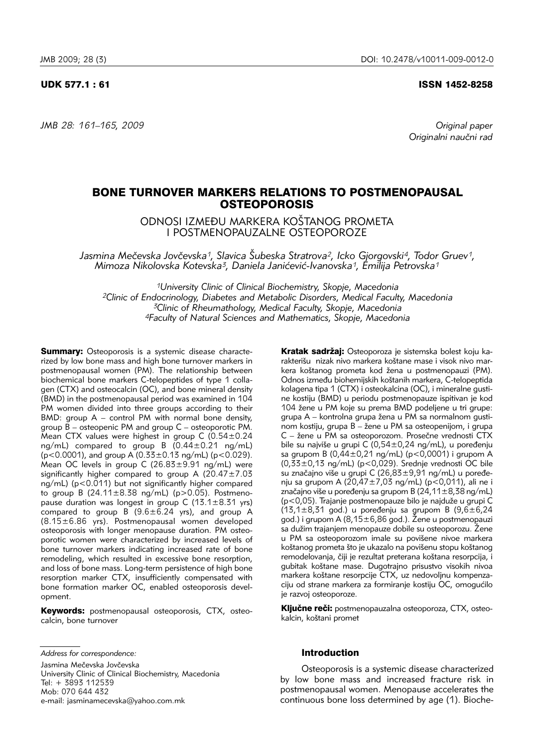## UDK 577.1 : 61 ISSN 1452-8258

Originalni naučni rad

# BONE TURNOVER MARKERS RELATIONS TO POSTMENOPAUSAL **OSTEOPOROSIS**

ODNOSI IZMEĐU MARKERA KOŠTANOG PROMETA I POSTMENOPAUZALNE OSTEOPOROZE

*Jasmina Me~evska Jov~evska1, Slavica [ubeska Stratrova2, Icko Gjorgovski4, Todor Gruev1, Mimoza Nikolovska Kotevska3, Daniela Jani}evi}-Ivanovska1, Emilija Petrovska1*

*1University Clinic of Clinical Biochemistry, Skopje, Macedonia 2Clinic of Endocrinology, Diabetes and Metabolic Disorders, Medical Faculty, Macedonia 3Clinic of Rheumathology, Medical Faculty, Skopje, Macedonia 4Faculty of Natural Sciences and Mathematics, Skopje, Macedonia*

Summary: Osteoporosis is a systemic disease characterized by low bone mass and high bone turnover markers in postmenopausal women (PM). The relationship between biochemical bone markers C-telopeptides of type 1 collagen (CTX) and osteocalcin (OC), and bone mineral density (BMD) in the postmenopausal period was examined in 104 PM women divided into three groups according to their  $BMD:$  group  $A$  – control PM with normal bone density, group B – osteopenic PM and group C – osteoporotic PM. Mean CTX values were highest in group C (0.54±0.24 ng/mL) compared to group B  $(0.44 \pm 0.21 \text{ ng/mL})$  $(p<0.0001)$ , and group A  $(0.33\pm0.13 \text{ ng/mL})$  (p $<0.029$ ). Mean OC levels in group C  $(26.83 \pm 9.91$  ng/mL) were significantly higher compared to group A (20.47 $\pm$ 7.03  $nq/mL$ ) ( $p < 0.011$ ) but not significantly higher compared to group B  $(24.11 \pm 8.38 \text{ ng/mL})$  (p>0.05). Postmenopause duration was longest in group C (13.1 $\pm$ 8.31 yrs) compared to group  $B(9.6 \pm 6.24)$  yrs), and group A (8.15±6.86 yrs). Postmenopausal women developed osteoporosis with longer menopause duration. PM osteoporotic women were characterized by increased levels of bone turnover markers indicating increased rate of bone remodeling, which resulted in excessive bone resorption, and loss of bone mass. Long-term persistence of high bone resorption marker CTX, insufficiently compensated with bone formation marker OC, enabled osteoporosis development.

Keywords: postmenopausal osteoporosis, CTX, osteocalcin, bone turnover

*Address for correspondence:*

Jasmina Mečevska Jovčevska University Clinic of Clinical Biochemistry, Macedonia Tel: + 3893 112539 Mob: 070 644 432 e-mail: jasminamecevska@yahoo.com.mk

Kratak sadržaj: Osteoporoza je sistemska bolest koju karakterišu nizak nivo markera koštane mase i visok nivo markera koštanog prometa kod žena u postmenopauzi (PM). Odnos između biohemijskih koštanih markera, C-telopeptida kolagena tipa 1 (CTX) i osteokalcina (OC), i mineralne gustine kostiju (BMD) u periodu postmenopauze ispitivan je kod 104 žene u PM koje su prema BMD podeljene u tri grupe: grupa A – kontrolna grupa žena u PM sa normalnom gustinom kostiju, grupa B – žene u PM sa osteopenijom, i grupa C – žene u PM sa osteoporozom. Prosečne vrednosti CTX bile su najviše u grupi  $C(0,54\pm0,24 \text{ ng/mL})$ , u poređenju sa grupom B (0,44±0,21 ng/mL) (p<0,0001) i grupom A (0,33±0,13 ng/mL) (p<0,029). Srednje vrednosti OC bile su značajno više u grupi C (26,83 $\pm$ 9,91 ng/mL) u poređenju sa grupom A (20,47±7,03 ng/mL) (p<0,011), ali ne i značajno više u poređenju sa grupom B  $(24,11\pm8,38$  ng/mL) (p<0,05). Trajanje postmenopauze bilo je najduže u grupi C  $(13,1\pm8,31 \text{ god.})$  u poređenju sa grupom B  $(9,6\pm6,24)$ god.) i grupom A  $(8,15\pm6,86$  god.). Žene u postmenopauzi sa dužim trajanjem menopauze dobile su osteoporozu. Žene u PM sa osteoporozom imale su povišene nivoe markera koštanog prometa što je ukazalo na povišenu stopu koštanog remodelovanja, čiji je rezultat preterana koštana resorpcija, i gubitak koštane mase. Dugotrajno prisustvo visokih nivoa markera koštane resorpcije CTX, uz nedovoljnu kompenzaciju od strane markera za formiranje kostiju OC, omogućilo je razvoj osteoporoze.

Ključne reči: postmenopauzalna osteoporoza, CTX, osteokalcin, koštani promet

# Introduction

Osteoporosis is a systemic disease characterized by low bone mass and increased fracture risk in postmenopausal women. Menopause accelerates the continuous bone loss determined by age (1). Bioche-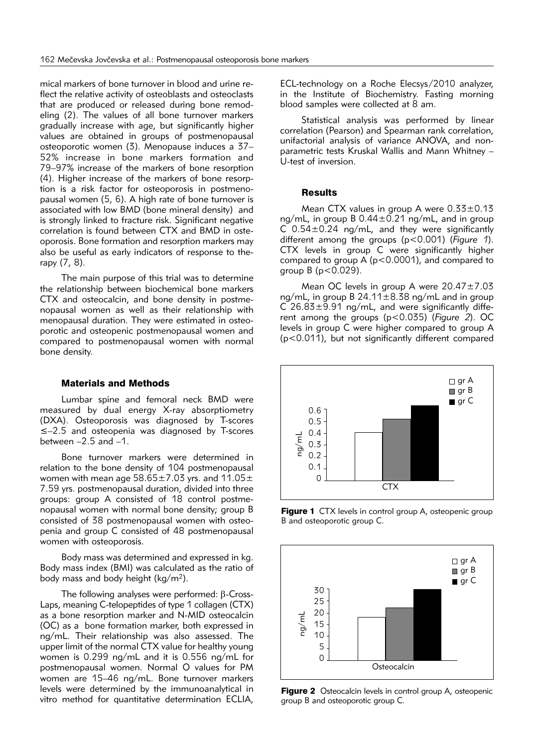mical markers of bone turnover in blood and urine reflect the relative activity of osteoblasts and osteoclasts that are produced or released during bone remodeling (2). The values of all bone turnover markers gradually increase with age, but significantly higher values are obtained in groups of postmenopausal osteoporotic women (3). Menopause induces a 37– 52% increase in bone markers formation and 79–97% increase of the markers of bone resorption  $(4)$ . Higher increase of the markers of bone resorption is a risk factor for osteoporosis in postmenopausal women (5, 6). A high rate of bone turnover is associated with low BMD (bone mineral density) and is strongly linked to fracture risk. Significant negative correlation is found between CTX and BMD in osteoporosis. Bone formation and resorption markers may also be useful as early indicators of response to therapy (7, 8).

The main purpose of this trial was to determine the relationship between biochemical bone markers CTX and osteocalcin, and bone density in postmenopausal women as well as their relationship with menopausal duration. They were estimated in osteoporotic and osteopenic postmenopausal women and compared to postmenopausal women with normal bone density.

#### Materials and Methods

Lumbar spine and femoral neck BMD were measured by dual energy X-ray absorptiometry (DXA). Osteoporosis was diagnosed by T-scores ≤–2.5 and osteopenia was diagnosed by T-scores between  $-2.5$  and  $-1$ .

Bone turnover markers were determined in relation to the bone density of 104 postmenopausal women with mean age  $58.65 \pm 7.03$  yrs. and  $11.05 \pm 7.03$ 7.59 yrs. postmenopausal duration, divided into three groups: group A consisted of 18 control postmenopausal women with normal bone density; group B consisted of 38 postmenopausal women with osteopenia and group C consisted of 48 postmenopausal women with osteoporosis.

Body mass was determined and expressed in kg. Body mass index (BMI) was calculated as the ratio of body mass and body height (kg/m2).

The following analyses were performed:  $\beta$ -Cross-Laps, meaning C-telopeptides of type 1 collagen (CTX) as a bone resorption marker and N-MID osteocalcin (OC) as a bone formation marker, both expressed in ng/mL. Their relationship was also assessed. The upper limit of the normal CTX value for healthy young women is 0.299 ng/mL and it is 0.556 ng/mL for postmenopausal women. Normal O values for PM women are 15–46 ng/mL. Bone turnover markers levels were determined by the immunoanalytical in vitro method for quantitative determination ECLIA,

ECL-technology on a Roche Elecsys/2010 analyzer, in the Institute of Biochemistry. Fasting morning blood samples were collected at 8 am.

Statistical analysis was performed by linear correlation (Pearson) and Spearman rank correlation, unifactorial analysis of variance ANOVA, and nonparametric tests Kruskal Wallis and Mann Whitney – U-test of inversion.

#### **Results**

Mean CTX values in group A were 0.33±0.13 ng/mL, in group B  $0.44 \pm 0.21$  ng/mL, and in group C  $0.54\pm0.24$  ng/mL, and they were significantly diffe rent among the groups (p<0.001) (*Figure 1*). CTX levels in group C were significantly higher compared to group A (p<0.0001), and compared to group  $B$  ( $p < 0.029$ ).

Mean OC levels in group A were 20.47±7.03 ng/mL, in group B 24.11±8.38 ng/mL and in group  $C$  26.83 $\pm$ 9.91 ng/mL, and were significantly different among the groups (p<0.035) (*Figure 2*). OC levels in group C were higher compared to group A (p<0.011), but not significantly different compared



Figure 1 CTX levels in control group A, osteopenic group B and osteoporotic group C.



Figure 2 Osteocalcin levels in control group A, osteopenic group B and osteoporotic group C.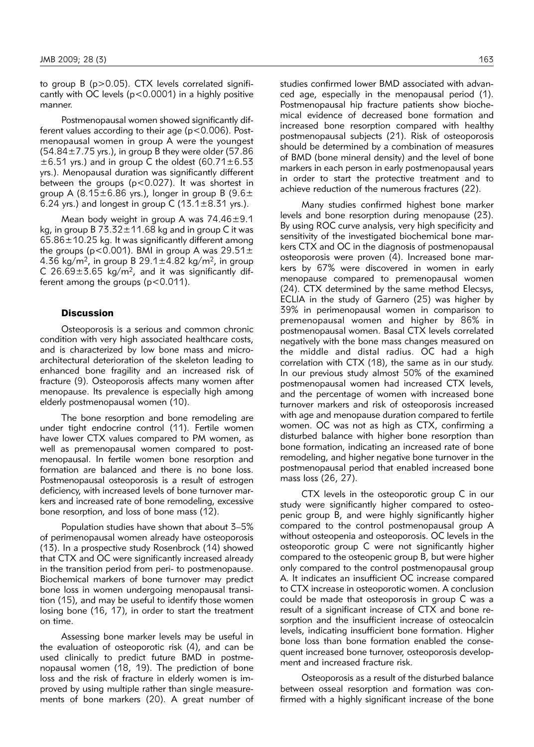to group  $B$  (p $>$ 0.05). CTX levels correlated significantly with OC levels (p<0.0001) in a highly positive manner.

Postmenopausal women showed significantly different values according to their age ( $p < 0.006$ ). Postmenopausal women in group A were the youngest  $(54.84 \pm 7.75 \text{ yrs.})$ , in group B they were older (57.86)  $\pm$ 6.51 yrs.) and in group C the oldest (60.71 $\pm$ 6.53 yrs.). Menopausal duration was significantly different between the groups ( $p < 0.027$ ). It was shortest in group A (8.15 $\pm$ 6.86 yrs.), longer in group B (9.6 $\pm$ 6.24 yrs.) and longest in group C  $(13.1\pm8.31)$  yrs.).

Mean body weight in group A was 74.46±9.1 kg, in group B  $73.32 \pm 11.68$  kg and in group C it was  $65.86 \pm 10.25$  kg. It was significantly different among the groups ( $p$ <0.001). BMI in group A was  $29.51 \pm$ 4.36 kg/m<sup>2</sup>, in group B 29.1 $\pm$ 4.82 kg/m<sup>2</sup>, in group C 26.69 $\pm$ 3.65 kg/m<sup>2</sup>, and it was significantly different among the groups  $(p<0.011)$ .

## **Discussion**

Osteoporosis is a serious and common chronic condition with very high associated healthcare costs, and is characterized by low bone mass and microarchitectural deterioration of the skeleton leading to enhanced bone fragility and an increased risk of fracture (9). Osteoporosis affects many women after menopause. Its prevalence is especially high among elderly postmenopausal women (10).

The bone resorption and bone remodeling are under tight endocrine control (11). Fertile women have lower CTX values compared to PM women, as well as premenopausal women compared to postmenopausal. In fertile women bone resorption and formation are balanced and there is no bone loss. Postmenopausal osteoporosis is a result of estrogen deficiency, with increased levels of bone turnover markers and increased rate of bone remodeling, excessive bone resorption, and loss of bone mass (12).

Population studies have shown that about 3–5% of perimenopausal women already have osteoporosis (13). In a prospective study Rosenbrock (14) showed that CTX and OC were significantly increased already in the transition period from peri- to postmenopause. Biochemical markers of bone turnover may predict bone loss in women undergoing menopausal transition (15), and may be useful to identify those women losing bone (16, 17), in order to start the treatment on time.

Assessing bone marker levels may be useful in the evaluation of osteoporotic risk (4), and can be used clinically to predict future BMD in postmenopausal women (18, 19). The prediction of bone loss and the risk of fracture in elderly women is improved by using multiple rather than single measurements of bone markers (20). A great number of

studies confirmed lower BMD associated with advanced age, especially in the menopausal period (1). Postmenopausal hip fracture patients show biochemical evidence of decreased bone formation and increased bone resorption compared with healthy postmeno pausal subjects (21). Risk of osteoporosis should be determined by a combination of measures of BMD (bone mineral density) and the level of bone markers in each person in early postmenopausal years

in order to start the protective treatment and to achieve reduction of the numerous fractures (22).

Many studies confirmed highest bone marker levels and bone resorption during menopause (23). By using ROC curve analysis, very high specificity and sensitivity of the investigated biochemical bone markers CTX and OC in the diagnosis of postmenopausal osteoporosis were proven (4). Increased bone markers by 67% were discovered in women in early menopause compared to premenopausal women (24). CTX determined by the same method Elecsys, ECLIA in the study of Garnero (25) was higher by 39% in perimenopausal women in comparison to premenopausal women and higher by 86% in postmeno pausal women. Basal CTX levels correlated negatively with the bone mass changes measured on the middle and distal radius. OC had a high correlation with CTX (18), the same as in our study. In our previous study almost 50% of the examined postmenopausal women had increased CTX levels, and the percentage of women with increased bone turnover markers and risk of osteoporosis increased with age and menopause duration compared to fertile women. OC was not as high as CTX, confirming a disturbed balance with higher bone resorption than bone formation, indicating an increased rate of bone remodeling, and higher negative bone turnover in the postmenopausal period that enabled increased bone mass loss (26, 27).

CTX levels in the osteoporotic group C in our study were significantly higher compared to osteopenic group B, and were highly significantly higher compared to the control postmenopausal group A without osteopenia and osteoporosis. OC levels in the osteoporotic group C were not significantly higher compared to the osteopenic group B, but were higher only compared to the control postmenopausal group A. It indicates an insufficient OC increase compared to CTX increase in osteoporotic women. A conclusion could be made that osteoporosis in group C was a result of a significant increase of CTX and bone resorption and the insufficient increase of osteocalcin levels, indicating insufficient bone formation. Higher bone loss than bone formation enabled the consequent increased bone turnover, osteoporosis development and increased fracture risk.

Osteoporosis as a result of the disturbed balance between osseal resorption and formation was confirmed with a highly significant increase of the bone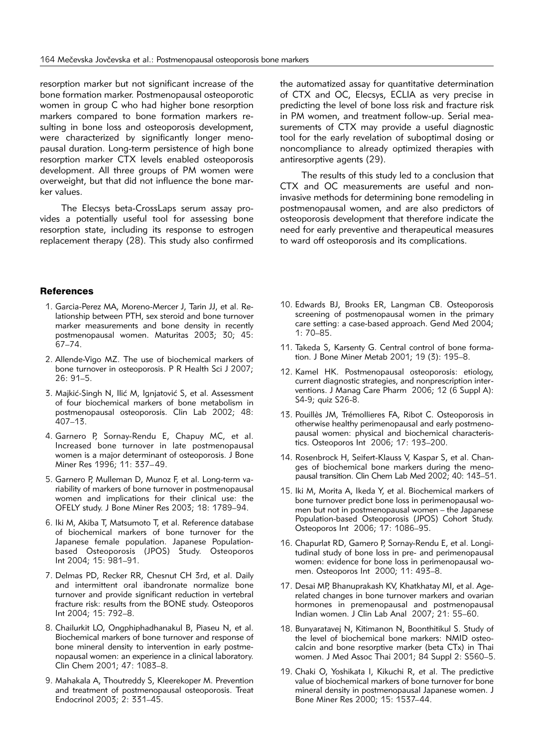re sorption marker but not significant increase of the bone formation marker. Postmenopausal osteoporotic women in group C who had higher bone resorption markers compared to bone formation markers resulting in bone loss and osteoporosis development, were characterized by significantly longer menopausal duration. Long-term persistence of high bone resorption marker CTX levels enabled osteoporosis development. All three groups of PM women were overweight, but that did not influence the bone marker values.

The Elecsys beta-CrossLaps serum assay provides a potentially useful tool for assessing bone resorption state, including its response to estrogen replacement therapy (28). This study also confirmed

#### References

- 1. Garcia-Perez MA, Moreno-Mercer J, Tarin JJ, et al. Relationship between PTH, sex steroid and bone turnover marker measurements and bone density in recently postmenopausal women. Maturitas 2003; 30; 45: 67–74.
- 2. Allende-Vigo MZ. The use of biochemical markers of bone turnover in osteoporosis. P R Health Sci J 2007; 26: 91–5.
- 3. Majkić-Singh N, Ilić M, Ignjatović S, et al. Assessment of four biochemical markers of bone metabolism in postmenopausal osteoporosis. Clin Lab 2002; 48: 407–13.
- 4. Garnero P, Sornay-Rendu E, Chapuy MC, et al. Increased bone turnover in late postmenopausal women is a major determinant of osteoporosis. J Bone Miner Res 1996; 11: 337–49.
- 5. Garnero P, Mulleman D, Munoz F, et al. Long-term va ria bility of markers of bone turnover in postmenopausal women and implications for their clinical use: the OFELY study. J Bone Miner Res 2003; 18: 1789–94.
- 6. Iki M, Akiba T, Matsumoto T, et al. Reference database of biochemical markers of bone turnover for the Japanese female population. Japanese Populationbased Osteoporosis (JPOS) Study. Osteoporos Int 2004; 15: 981–91.
- 7. Delmas PD, Recker RR, Chesnut CH 3rd, et al. Daily and intermittent oral ibandronate normalize bone turnover and provide significant reduction in vertebral fracture risk: results from the BONE study. Osteoporos Int 2004; 15: 792–8.
- 8. Chailurkit LO, Ongphiphadhanakul B, Piaseu N, et al. Biochemical markers of bone turnover and response of bone mineral density to intervention in early postmenopausal women: an experience in a clinical laboratory. Clin Chem 2001; 47: 1083–8.
- 9. Mahakala A, Thoutreddy S, Kleerekoper M. Prevention and treatment of postmenopausal osteoporosis. Treat Endocrinol 2003; 2: 331–45.

the automatized assay for quantitative determination of CTX and OC, Elecsys, ECLIA as very precise in predicting the level of bone loss risk and fracture risk in PM women, and treatment follow-up. Serial measurements of CTX may provide a useful diagnostic tool for the early revelation of suboptimal dosing or noncompliance to already optimized therapies with antiresorptive agents (29).

The results of this study led to a conclusion that CTX and OC measurements are useful and noninvasive methods for determining bone remodeling in postmenopausal women, and are also predictors of osteoporosis development that therefore indicate the need for early preventive and therapeutical measures to ward off osteoporosis and its complications.

- 10. Edwards BJ, Brooks ER, Langman CB. Osteoporosis screening of postmenopausal women in the primary care setting: a case-based approach. Gend Med 2004; 1: 70–85.
- 11. Takeda S, Karsenty G. Central control of bone formation. J Bone Miner Metab 2001; 19 (3): 195–8.
- 12. Kamel HK. Postmenopausal osteoporosis: etiology, current diagnostic strategies, and nonprescription inter ventions. J Manag Care Pharm 2006; 12 (6 Suppl A): S4-9; quiz S26-8.
- 13. Pouillès JM, Trémollieres FA, Ribot C. Osteoporosis in otherwise healthy perimenopausal and early postmenopausal women: physical and biochemical characteristics. Osteoporos Int 2006; 17: 193–200.
- 14. Rosenbrock H, Seifert-Klauss V, Kaspar S, et al. Changes of biochemical bone markers during the menopausal transition. Clin Chem Lab Med 2002; 40: 143–51.
- 15. Iki M, Morita A, Ikeda Y, et al. Biochemical markers of bone turnover predict bone loss in perimenopausal women but not in postmenopausal women - the Japanese Population-based Osteoporosis (JPOS) Cohort Study. Osteoporos Int 2006; 17: 1086–95.
- 16. Chapurlat RD, Gamero P, Sornay-Rendu E, et al. Longitudinal study of bone loss in pre- and perimenopausal women: evidence for bone loss in perimenopausal women. Osteoporos Int 2000; 11: 493–8.
- 17. Desai MP, Bhanuprakash KV, Khatkhatay MI, et al. Agerelated changes in bone turnover markers and ovarian hormones in premenopausal and postmenopausal Indian women. J Clin Lab Anal 2007; 21: 55–60.
- 18. Bunyaratavej N, Kitimanon N, Boonthitikul S. Study of the level of biochemical bone markers: NMID osteocalcin and bone resorptive marker (beta CTx) in Thai women. J Med Assoc Thai 2001; 84 Suppl 2: S560–5.
- 19. Chaki O, Yoshikata I, Kikuchi R, et al. The predictive value of biochemical markers of bone turnover for bone mineral density in postmenopausal Japanese women. J Bone Miner Res 2000; 15: 1537–44.